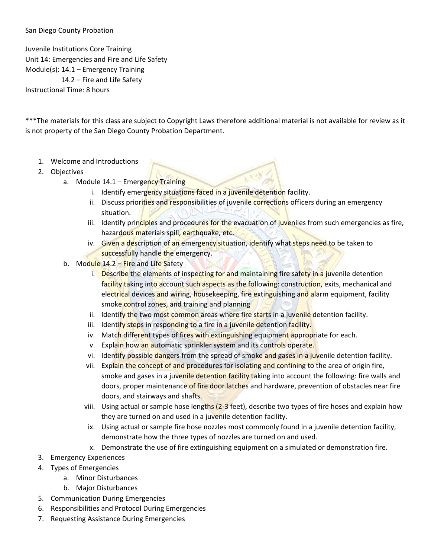## San Diego County Probation

Juvenile Institutions Core Training Unit 14: Emergencies and Fire and Life Safety Module(s): 14.1 – Emergency Training 14.2 – Fire and Life Safety Instructional Time: 8 hours

\*\*\*The materials for this class are subject to Copyright Laws therefore additional material is not available for review as it is not property of the San Diego County Probation Department.

- 1. Welcome and Introductions
- 2. Objectives
	- a. Module 14.1 Emergency Training
		- i. Identify emergency situations faced in a juvenile detention facility.
		- ii. Discuss priorities and responsibilities of juvenile corrections officers during an emergency situation.
		- iii. Identify principles and procedures for the evacuation of juveniles from such emergencies as fire, hazardous materials spill, earthquake, etc.
		- iv. Given a description of an emergency situation, identify what steps need to be taken to successfully handle the emergency.
	- b. Module 14.2 Fire and Life Safety
		- i. Describe the elements of inspecting for and maintaining fire safety in a juvenile detention facility taking into account such aspects as the following: construction, exits, mechanical and electrical devices and wiring, housekeeping, fire extinguishing and alarm equipment, facility smoke control zones, and training and planning
		- ii. Identify the two most common areas where fire starts in a juvenile detention facility.
		- iii. Identify steps in responding to a fire in a juvenile detention facility.
		- iv. Match different types of fires with extinguishing equipment appropriate for each.
		- v. Explain how an automatic sprinkler system and its controls operate.
		- vi. Identify possible dangers from the spread of smoke and gases in a juvenile detention facility.
		- vii. Explain the concept of and procedures for isolating and confining to the area of origin fire, smoke and gases in a juvenile detention facility taking into account the following: fire walls and doors, proper maintenance of fire door latches and hardware, prevention of obstacles near fire doors, and stairways and shafts.
		- viii. Using actual or sample hose lengths (2-3 feet), describe two types of fire hoses and explain how they are turned on and used in a juvenile detention facility.
		- ix. Using actual or sample fire hose nozzles most commonly found in a juvenile detention facility, demonstrate how the three types of nozzles are turned on and used.
		- x. Demonstrate the use of fire extinguishing equipment on a simulated or demonstration fire.
- 3. Emergency Experiences
- 4. Types of Emergencies
	- a. Minor Disturbances
	- b. Major Disturbances
- 5. Communication During Emergencies
- 6. Responsibilities and Protocol During Emergencies
- 7. Requesting Assistance During Emergencies